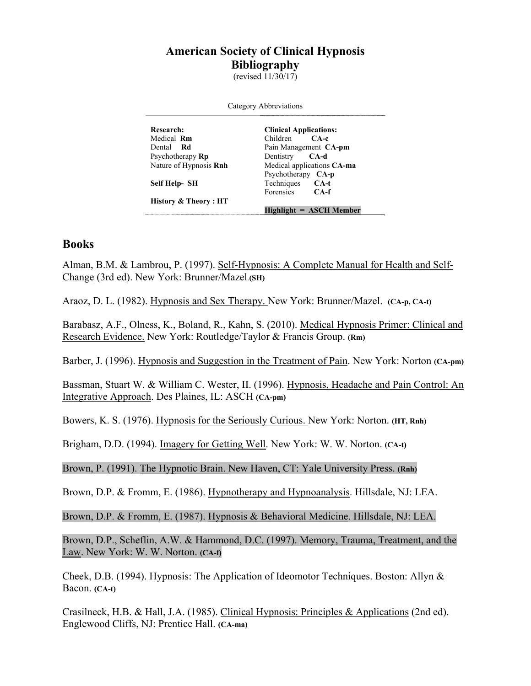## **American Society of Clinical Hypnosis Bibliography**

(revised  $11/30/17$ )

| Category Abbreviations        |                               |
|-------------------------------|-------------------------------|
| <b>Research:</b>              | <b>Clinical Applications:</b> |
| Medical <b>Rm</b>             | Children CA-c                 |
| Dental <b>Rd</b>              | Pain Management CA-pm         |
| Psychotherapy <b>Rp</b>       | Dentistry <b>CA-d</b>         |
| Nature of Hypnosis <b>Rnh</b> | Medical applications CA-ma    |
|                               | Psychotherapy CA-p            |
| Self Help- SH                 | Techniques CA-t               |
|                               | Forensics <b>CA-f</b>         |
| History & Theory : HT         |                               |
|                               | Highlight = ASCH Member       |

## **Books**

Alman, B.M. & Lambrou, P. (1997). Self-Hypnosis: A Complete Manual for Health and Self-Change (3rd ed). New York: Brunner/Mazel.**(SH)**

Araoz, D. L. (1982). Hypnosis and Sex Therapy. New York: Brunner/Mazel. **(CA-p, CA-t)** 

Barabasz, A.F., Olness, K., Boland, R., Kahn, S. (2010). Medical Hypnosis Primer: Clinical and Research Evidence. New York: Routledge/Taylor & Francis Group. **(Rm)**

Barber, J. (1996). Hypnosis and Suggestion in the Treatment of Pain. New York: Norton **(CA-pm)** 

Bassman, Stuart W. & William C. Wester, II. (1996). Hypnosis, Headache and Pain Control: An Integrative Approach. Des Plaines, IL: ASCH **(CA-pm)**

Bowers, K. S. (1976). Hypnosis for the Seriously Curious. New York: Norton. **(HT, Rnh)**

Brigham, D.D. (1994). Imagery for Getting Well. New York: W. W. Norton. **(CA-t)**

Brown, P. (1991). The Hypnotic Brain. New Haven, CT: Yale University Press. **(Rnh)**

Brown, D.P. & Fromm, E. (1986). Hypnotherapy and Hypnoanalysis. Hillsdale, NJ: LEA.

Brown, D.P. & Fromm, E. (1987). Hypnosis & Behavioral Medicine. Hillsdale, NJ: LEA.

Brown, D.P., Scheflin, A.W. & Hammond, D.C. (1997). Memory, Trauma, Treatment, and the Law. New York: W. W. Norton. **(CA-f)**

Cheek, D.B. (1994). Hypnosis: The Application of Ideomotor Techniques. Boston: Allyn & Bacon. **(CA-t)**

Crasilneck, H.B. & Hall, J.A. (1985). Clinical Hypnosis: Principles & Applications (2nd ed). Englewood Cliffs, NJ: Prentice Hall. **(CA-ma)**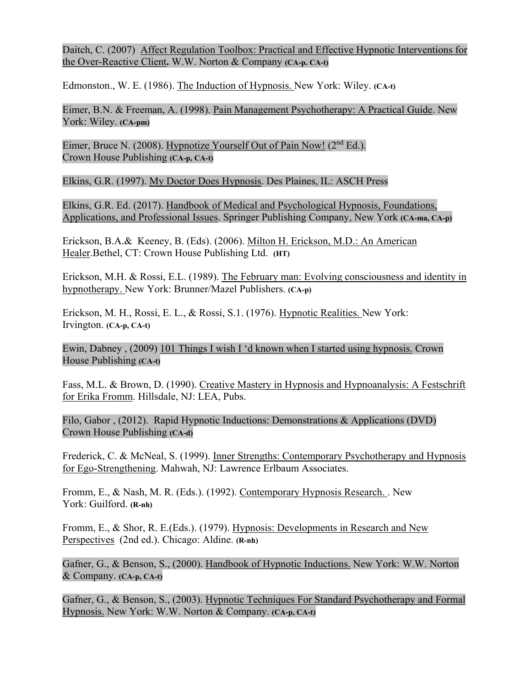Daitch, C. (2007) Affect Regulation Toolbox: Practical and Effective Hypnotic Interventions for the Over-Reactive Client**.** W.W. Norton & Company **(CA-p. CA-t)**

Edmonston., W. E. (1986). The Induction of Hypnosis. New York: Wiley. **(CA-t)**

Eimer, B.N. & Freeman, A. (1998). Pain Management Psychotherapy: A Practical Guide. New York: Wiley. **(CA-pm)**

Eimer, Bruce N. (2008). Hypnotize Yourself Out of Pain Now! (2<sup>nd</sup> Ed.). Crown House Publishing **(CA-p, CA-t)**

Elkins, G.R. (1997). My Doctor Does Hypnosis. Des Plaines, IL: ASCH Press

Elkins, G.R. Ed. (2017). Handbook of Medical and Psychological Hypnosis, Foundations, Applications, and Professional Issues. Springer Publishing Company, New York **(CA-ma, CA-p)**

Erickson, B.A.& Keeney, B. (Eds). (2006). Milton H. Erickson, M.D.: An American Healer.Bethel, CT: Crown House Publishing Ltd. **(HT)**

Erickson, M.H. & Rossi, E.L. (1989). The February man: Evolving consciousness and identity in hypnotherapy. New York: Brunner/Mazel Publishers. **(CA-p)**

Erickson, M. H., Rossi, E. L., & Rossi, S.1. (1976). Hypnotic Realities. New York: Irvington. **(CA-p, CA-t)**

Ewin, Dabney , (2009) 101 Things I wish I 'd known when I started using hypnosis. Crown House Publishing **(CA-t)**

Fass, M.L. & Brown, D. (1990). Creative Mastery in Hypnosis and Hypnoanalysis: A Festschrift for Erika Fromm. Hillsdale, NJ: LEA, Pubs.

Filo, Gabor , (2012). Rapid Hypnotic Inductions: Demonstrations & Applications (DVD) Crown House Publishing **(CA-d)**

Frederick, C. & McNeal, S. (1999). Inner Strengths: Contemporary Psychotherapy and Hypnosis for Ego-Strengthening. Mahwah, NJ: Lawrence Erlbaum Associates.

Fromm, E., & Nash, M. R. (Eds.). (1992). Contemporary Hypnosis Research. . New York: Guilford. **(R-nh)**

Fromm, E., & Shor, R. E.(Eds.). (1979). Hypnosis: Developments in Research and New Perspectives (2nd ed.). Chicago: Aldine. **(R-nh)**

Gafner, G., & Benson, S., (2000). Handbook of Hypnotic Inductions. New York: W.W. Norton & Company. **(CA-p, CA-t)**

Gafner, G., & Benson, S., (2003). Hypnotic Techniques For Standard Psychotherapy and Formal Hypnosis. New York: W.W. Norton & Company. **(CA-p, CA-t)**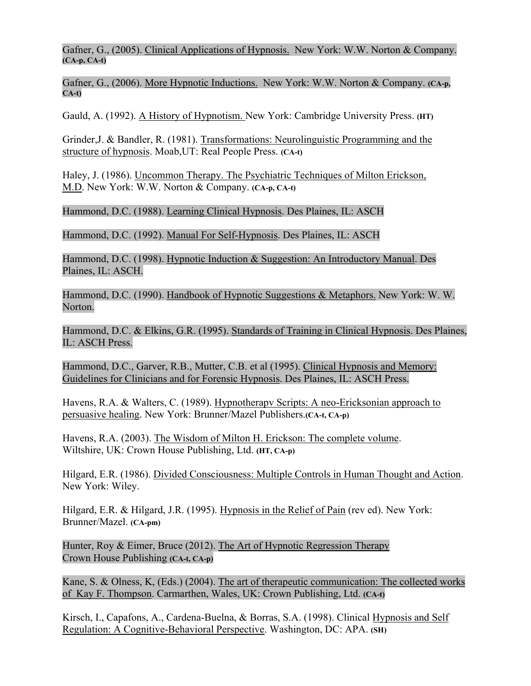Gafner, G., (2005). Clinical Applications of Hypnosis. New York: W.W. Norton & Company. **(CA-p, CA-t)** 

Gafner, G., (2006). More Hypnotic Inductions. New York: W.W. Norton & Company. **(CA-p, CA-t)**

Gauld, A. (1992). A History of Hypnotism. New York: Cambridge University Press. **(HT)**

Grinder,J. & Bandler, R. (1981). Transformations: Neurolinguistic Programming and the structure of hypnosis. Moab,UT: Real People Press. **(CA-t)**

Haley, J. (1986). Uncommon Therapy. The Psychiatric Techniques of Milton Erickson, M.D. New York: W.W. Norton & Company. **(CA-p, CA-t)**

Hammond, D.C. (1988). Learning Clinical Hypnosis. Des Plaines, IL: ASCH

Hammond, D.C. (1992). Manual For Self-Hypnosis. Des Plaines, IL: ASCH

Hammond, D.C. (1998). Hypnotic Induction & Suggestion: An Introductory Manual. Des Plaines, IL: ASCH.

Hammond, D.C. (1990). Handbook of Hypnotic Suggestions & Metaphors. New York: W. W. Norton.

Hammond, D.C. & Elkins, G.R. (1995). Standards of Training in Clinical Hypnosis. Des Plaines, IL: ASCH Press.

Hammond, D.C., Garver, R.B., Mutter, C.B. et al (1995). Clinical Hypnosis and Memory: Guidelines for Clinicians and for Forensic Hypnosis. Des Plaines, IL: ASCH Press.

Havens, R.A. & Walters, C. (1989). Hypnotherapv Scripts: A neo-Ericksonian approach to persuasive healing. New York: Brunner/Mazel Publishers.**(CA-t, CA-p)**

Havens, R.A. (2003). The Wisdom of Milton H. Erickson: The complete volume. Wiltshire, UK: Crown House Publishing, Ltd. **(HT, CA-p)**

Hilgard, E.R. (1986). Divided Consciousness: Multiple Controls in Human Thought and Action. New York: Wiley.

Hilgard, E.R. & Hilgard, J.R. (1995). Hypnosis in the Relief of Pain (rev ed). New York: Brunner/Mazel. **(CA-pm)**

Hunter, Roy & Eimer, Bruce (2012). The Art of Hypnotic Regression Therapy Crown House Publishing **(CA-t, CA-p)**

Kane, S. & Olness, K, (Eds.) (2004). The art of therapeutic communication: The collected works of Kay F. Thompson. Carmarthen, Wales, UK: Crown Publishing, Ltd. **(CA-t)**

Kirsch, I., Capafons, A., Cardena-Buelna, & Borras, S.A. (1998). Clinical Hypnosis and Self Regulation: A Cognitive-Behavioral Perspective. Washington, DC: APA. **(SH)**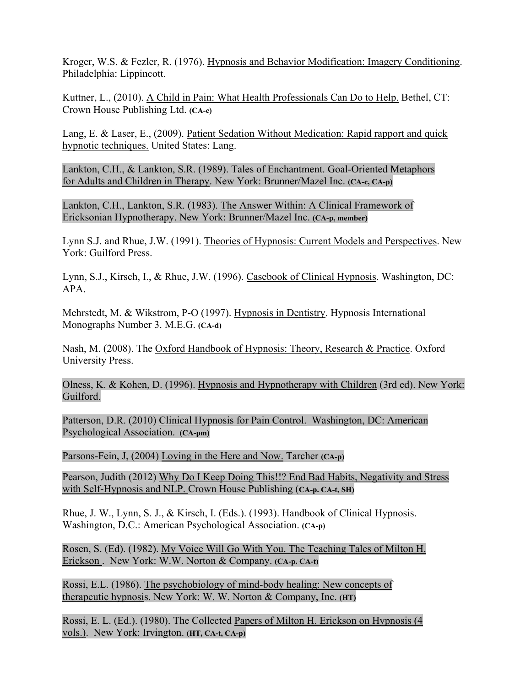Kroger, W.S. & Fezler, R. (1976). Hypnosis and Behavior Modification: Imagery Conditioning. Philadelphia: Lippincott.

Kuttner, L., (2010). A Child in Pain: What Health Professionals Can Do to Help. Bethel, CT: Crown House Publishing Ltd. **(CA-c)**

Lang, E. & Laser, E., (2009). Patient Sedation Without Medication: Rapid rapport and quick hypnotic techniques. United States: Lang.

Lankton, C.H., & Lankton, S.R. (1989). Tales of Enchantment. Goal-Oriented Metaphors for Adults and Children in Therapy. New York: Brunner/Mazel Inc. **(CA-c, CA-p)**

Lankton, C.H., Lankton, S.R. (1983). The Answer Within: A Clinical Framework of Ericksonian Hypnotherapy. New York: Brunner/Mazel Inc. **(CA-p, member)**

Lynn S.J. and Rhue, J.W. (1991). Theories of Hypnosis: Current Models and Perspectives. New York: Guilford Press.

Lynn, S.J., Kirsch, I., & Rhue, J.W. (1996). Casebook of Clinical Hypnosis. Washington, DC: APA.

Mehrstedt, M. & Wikstrom, P-O (1997). Hypnosis in Dentistry. Hypnosis International Monographs Number 3. M.E.G. **(CA-d)**

Nash, M. (2008). The Oxford Handbook of Hypnosis: Theory, Research & Practice. Oxford University Press.

Olness, K. & Kohen, D. (1996). Hypnosis and Hypnotherapy with Children (3rd ed). New York: Guilford.

Patterson, D.R. (2010) Clinical Hypnosis for Pain Control. Washington, DC: American Psychological Association. **(CA-pm)**

Parsons-Fein, J, (2004) Loving in the Here and Now. Tarcher **(CA-p)** 

Pearson, Judith (2012) Why Do I Keep Doing This!!? End Bad Habits, Negativity and Stress with Self-Hypnosis and NLP. Crown House Publishing (**CA-p. CA-t, SH)**

Rhue, J. W., Lynn, S. J., & Kirsch, I. (Eds.). (1993). Handbook of Clinical Hypnosis. Washington, D.C.: American Psychological Association. **(CA-p)**

Rosen, S. (Ed). (1982). My Voice Will Go With You. The Teaching Tales of Milton H. Erickson . New York: W.W. Norton & Company. **(CA-p. CA-t)**

Rossi, E.L. (1986). The psychobiology of mind-body healing: New concepts of therapeutic hypnosis. New York: W. W. Norton & Company, Inc. **(HT)**

Rossi, E. L. (Ed.). (1980). The Collected Papers of Milton H. Erickson on Hypnosis (4 vols.). New York: Irvington. **(HT, CA-t, CA-p)**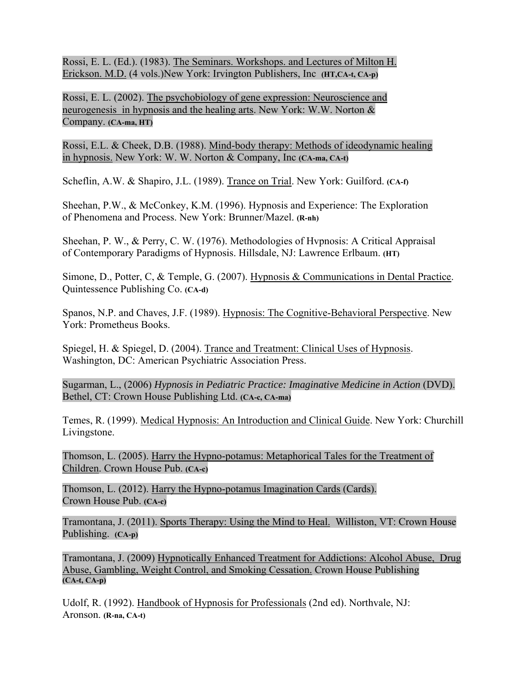Rossi, E. L. (Ed.). (1983). The Seminars. Workshops. and Lectures of Milton H. Erickson. M.D. (4 vols.)New York: Irvington Publishers, Inc **(HT,CA-t, CA-p)**

Rossi, E. L. (2002). The psychobiology of gene expression: Neuroscience and neurogenesis in hypnosis and the healing arts. New York: W.W. Norton & Company. **(CA-ma, HT)**

Rossi, E.L. & Cheek, D.B. (1988). Mind-body therapy: Methods of ideodynamic healing in hypnosis. New York: W. W. Norton & Company, Inc **(CA-ma, CA-t)**

Scheflin, A.W. & Shapiro, J.L. (1989). Trance on Trial. New York: Guilford. **(CA-f)**

Sheehan, P.W., & McConkey, K.M. (1996). Hypnosis and Experience: The Exploration of Phenomena and Process. New York: Brunner/Mazel. **(R-nh)**

Sheehan, P. W., & Perry, C. W. (1976). Methodologies of Hvpnosis: A Critical Appraisal of Contemporary Paradigms of Hypnosis. Hillsdale, NJ: Lawrence Erlbaum. **(HT)**

Simone, D., Potter, C, & Temple, G. (2007). Hypnosis & Communications in Dental Practice. Quintessence Publishing Co. **(CA-d)**

Spanos, N.P. and Chaves, J.F. (1989). Hypnosis: The Cognitive-Behavioral Perspective. New York: Prometheus Books.

Spiegel, H. & Spiegel, D. (2004). Trance and Treatment: Clinical Uses of Hypnosis. Washington, DC: American Psychiatric Association Press.

Sugarman, L., (2006) *Hypnosis in Pediatric Practice: Imaginative Medicine in Action* (DVD). Bethel, CT: Crown House Publishing Ltd. **(CA-c, CA-ma)**

Temes, R. (1999). Medical Hypnosis: An Introduction and Clinical Guide. New York: Churchill Livingstone.

Thomson, L. (2005). Harry the Hypno-potamus: Metaphorical Tales for the Treatment of Children. Crown House Pub. **(CA-c)** 

Thomson, L. (2012). Harry the Hypno-potamus Imagination Cards (Cards). Crown House Pub. **(CA-c)**

Tramontana, J. (2011). Sports Therapy: Using the Mind to Heal. Williston, VT: Crown House Publishing. **(CA-p)**

Tramontana, J. (2009) Hypnotically Enhanced Treatment for Addictions: Alcohol Abuse, Drug Abuse, Gambling, Weight Control, and Smoking Cessation. Crown House Publishing **(CA-t, CA-p)**

Udolf, R. (1992). Handbook of Hypnosis for Professionals (2nd ed). Northvale, NJ: Aronson. **(R-na, CA-t)**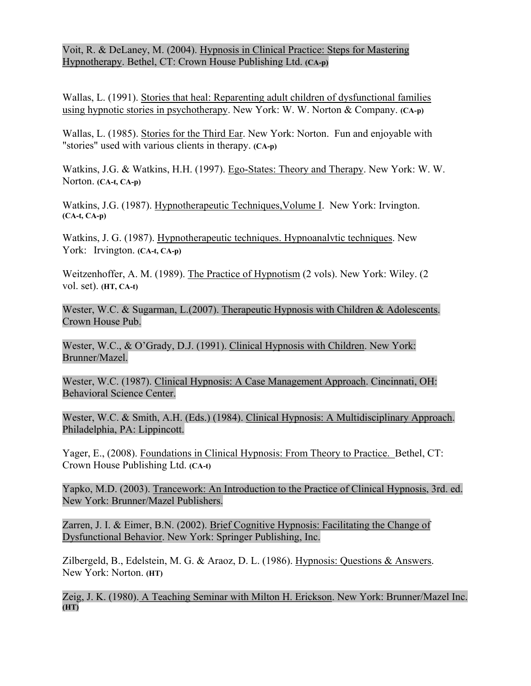Voit, R. & DeLaney, M. (2004). Hypnosis in Clinical Practice: Steps for Mastering Hypnotherapy. Bethel, CT: Crown House Publishing Ltd. **(CA-p)**

Wallas, L. (1991). Stories that heal: Reparenting adult children of dysfunctional families using hypnotic stories in psychotherapy. New York: W. W. Norton & Company. **(CA-p)**

Wallas, L. (1985). Stories for the Third Ear. New York: Norton. Fun and enjoyable with "stories" used with various clients in therapy. **(CA-p)**

Watkins, J.G. & Watkins, H.H. (1997). Ego-States: Theory and Therapy. New York: W. W. Norton. **(CA-t, CA-p)**

Watkins, J.G. (1987). Hypnotherapeutic Techniques,Volume I. New York: Irvington. **(CA-t, CA-p)** 

Watkins, J. G. (1987). Hypnotherapeutic techniques. Hypnoanalvtic techniques. New York: Irvington. **(CA-t, CA-p)**

Weitzenhoffer, A. M. (1989). The Practice of Hypnotism (2 vols). New York: Wiley. (2 vol. set). **(HT, CA-t)**

Wester, W.C. & Sugarman, L.(2007). Therapeutic Hypnosis with Children & Adolescents. Crown House Pub.

Wester, W.C., & O'Grady, D.J. (1991). Clinical Hypnosis with Children. New York: Brunner/Mazel.

Wester, W.C. (1987). Clinical Hypnosis: A Case Management Approach. Cincinnati, OH: Behavioral Science Center.

Wester, W.C. & Smith, A.H. (Eds.) (1984). Clinical Hypnosis: A Multidisciplinary Approach. Philadelphia, PA: Lippincott.

Yager, E., (2008). Foundations in Clinical Hypnosis: From Theory to Practice. Bethel, CT: Crown House Publishing Ltd. **(CA-t)**

Yapko, M.D. (2003). Trancework: An Introduction to the Practice of Clinical Hypnosis, 3rd. ed. New York: Brunner/Mazel Publishers.

Zarren, J. I. & Eimer, B.N. (2002). Brief Cognitive Hypnosis: Facilitating the Change of Dysfunctional Behavior. New York: Springer Publishing, Inc.

Zilbergeld, B., Edelstein, M. G. & Araoz, D. L. (1986). Hypnosis: Questions & Answers. New York: Norton. **(HT)**

Zeig, J. K. (1980). A Teaching Seminar with Milton H. Erickson. New York: Brunner/Mazel Inc. **(HT)**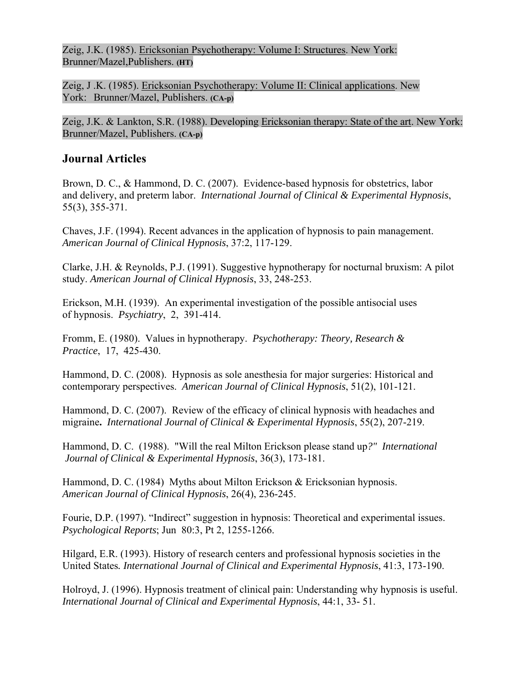Zeig, J.K. (1985). Ericksonian Psychotherapy: Volume I: Structures. New York: Brunner/Mazel,Publishers. **(HT)**

Zeig, J .K. (1985). Ericksonian Psychotherapy: Volume II: Clinical applications. New York: Brunner/Mazel, Publishers. **(CA-p)**

Zeig, J.K. & Lankton, S.R. (1988). Developing Ericksonian therapy: State of the art. New York: Brunner/Mazel, Publishers. **(CA-p)**

## **Journal Articles**

Brown, D. C., & Hammond, D. C. (2007). Evidence-based hypnosis for obstetrics, labor and delivery, and preterm labor. *International Journal of Clinical & Experimental Hypnosis*, 55(3), 355-371.

Chaves, J.F. (1994). Recent advances in the application of hypnosis to pain management. *American Journal of Clinical Hypnosis*, 37:2, 117-129.

Clarke, J.H. & Reynolds, P.J. (1991). Suggestive hypnotherapy for nocturnal bruxism: A pilot study. *American Journal of Clinical Hypnosis*, 33, 248-253.

Erickson, M.H. (1939). An experimental investigation of the possible antisocial uses of hypnosis. *Psychiatry*, 2, 391-414.

Fromm, E. (1980). Values in hypnotherapy. *Psychotherapy: Theory, Research & Practice*, 17, 425-430.

Hammond, D. C. (2008). Hypnosis as sole anesthesia for major surgeries: Historical and contemporary perspectives. *American Journal of Clinical Hypnosis*, 51(2), 101-121.

Hammond, D. C. (2007). Review of the efficacy of clinical hypnosis with headaches and migraine**.** *International Journal of Clinical & Experimental Hypnosis*, 55(2), 207-219.

Hammond, D. C. (1988). "Will the real Milton Erickson please stand up*?" International Journal of Clinical & Experimental Hypnosis*, 36(3), 173-181.

Hammond, D. C. (1984) Myths about Milton Erickson & Ericksonian hypnosis. *American Journal of Clinical Hypnosis*, 26(4), 236-245.

Fourie, D.P. (1997). "Indirect" suggestion in hypnosis: Theoretical and experimental issues. *Psychological Reports*; Jun 80:3, Pt 2, 1255-1266.

Hilgard, E.R. (1993). History of research centers and professional hypnosis societies in the United States*. International Journal of Clinical and Experimental Hypnosis*, 41:3, 173-190.

Holroyd, J. (1996). Hypnosis treatment of clinical pain: Understanding why hypnosis is useful. *International Journal of Clinical and Experimental Hypnosis*, 44:1, 33- 51.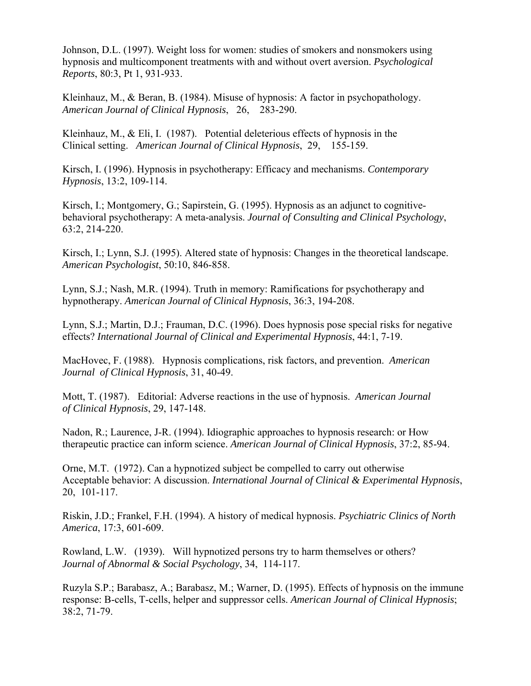Johnson, D.L. (1997). Weight loss for women: studies of smokers and nonsmokers using hypnosis and multicomponent treatments with and without overt aversion. *Psychological Reports*, 80:3, Pt 1, 931-933.

Kleinhauz, M., & Beran, B. (1984). Misuse of hypnosis: A factor in psychopathology. *American Journal of Clinical Hypnosis*, 26, 283-290.

Kleinhauz, M., & Eli, I. (1987). Potential deleterious effects of hypnosis in the Clinical setting. *American Journal of Clinical Hypnosis*, 29, 155-159.

Kirsch, I. (1996). Hypnosis in psychotherapy: Efficacy and mechanisms. *Contemporary Hypnosis*, 13:2, 109-114.

Kirsch, I.; Montgomery, G.; Sapirstein, G. (1995). Hypnosis as an adjunct to cognitivebehavioral psychotherapy: A meta-analysis. *Journal of Consulting and Clinical Psychology*, 63:2, 214-220.

Kirsch, I.; Lynn, S.J. (1995). Altered state of hypnosis: Changes in the theoretical landscape. *American Psychologist*, 50:10, 846-858.

Lynn, S.J.; Nash, M.R. (1994). Truth in memory: Ramifications for psychotherapy and hypnotherapy. *American Journal of Clinical Hypnosis*, 36:3, 194-208.

Lynn, S.J.; Martin, D.J.; Frauman, D.C. (1996). Does hypnosis pose special risks for negative effects? *International Journal of Clinical and Experimental Hypnosis*, 44:1, 7-19.

MacHovec, F. (1988). Hypnosis complications, risk factors, and prevention. *American Journal of Clinical Hypnosis*, 31, 40-49.

Mott, T. (1987). Editorial: Adverse reactions in the use of hypnosis. *American Journal of Clinical Hypnosis*, 29, 147-148.

Nadon, R.; Laurence, J-R. (1994). Idiographic approaches to hypnosis research: or How therapeutic practice can inform science. *American Journal of Clinical Hypnosis*, 37:2, 85-94.

Orne, M.T. (1972). Can a hypnotized subject be compelled to carry out otherwise Acceptable behavior: A discussion. *International Journal of Clinical & Experimental Hypnosis*, 20, 101-117.

Riskin, J.D.; Frankel, F.H. (1994). A history of medical hypnosis. *Psychiatric Clinics of North America*, 17:3, 601-609.

Rowland, L.W. (1939). Will hypnotized persons try to harm themselves or others? *Journal of Abnormal & Social Psychology*, 34, 114-117.

Ruzyla S.P.; Barabasz, A.; Barabasz, M.; Warner, D. (1995). Effects of hypnosis on the immune response: B-cells, T-cells, helper and suppressor cells. *American Journal of Clinical Hypnosis*; 38:2, 71-79.